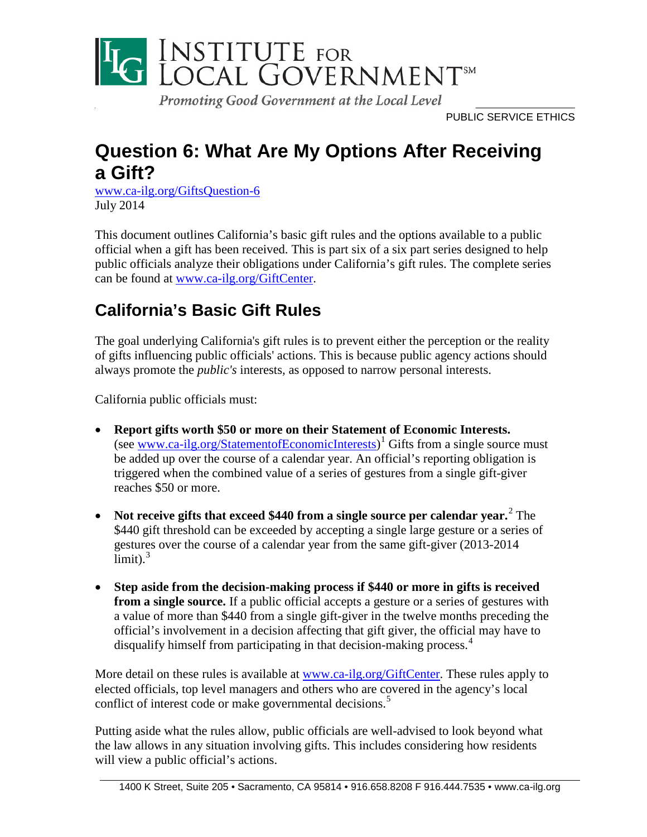

Promoting Good Government at the Local Level

PUBLIC SERVICE ETHICS

## **Question 6: What Are My Options After Receiving a Gift?**

[www.ca-ilg.org/GiftsQuestion-6](http://www.ca-ilg.org/GiftsQuestion-6) July 2014

This document outlines California's basic gift rules and the options available to a public official when a gift has been received. This is part six of a six part series designed to help public officials analyze their obligations under California's gift rules. The complete series can be found at [www.ca-ilg.org/GiftCenter.](http://www.ca-ilg.org/GiftCenter)

# **California's Basic Gift Rules**

The goal underlying California's gift rules is to prevent either the perception or the reality of gifts influencing public officials' actions. This is because public agency actions should always promote the *public's* interests*,* as opposed to narrow personal interests.

California public officials must:

- **Report gifts worth \$50 or more on their Statement of Economic Interests.** (see <u>www.ca-ilg.org/StatementofEconomicInterests</u>)<sup>[1](#page-5-0)</sup> Gifts from a single source must be added up over the course of a calendar year. An official's reporting obligation is triggered when the combined value of a series of gestures from a single gift-giver reaches \$50 or more.
- **Not receive gifts that exceed \$440 from a single source per calendar year.**[2](#page-5-1) The \$440 gift threshold can be exceeded by accepting a single large gesture or a series of gestures over the course of a calendar year from the same gift-giver (2013-2014  $\lim$ it).<sup>[3](#page-5-2)</sup>
- **Step aside from the decision-making process if \$440 or more in gifts is received from a single source.** If a public official accepts a gesture or a series of gestures with a value of more than \$440 from a single gift-giver in the twelve months preceding the official's involvement in a decision affecting that gift giver, the official may have to disqualify himself from participating in that decision-making process.<sup>[4](#page-5-3)</sup>

More detail on these rules is available at [www.ca-ilg.org/GiftCenter.](http://www.ca-ilg.org/GiftCenter) These rules apply to elected officials, top level managers and others who are covered in the agency's local conflict of interest code or make governmental decisions.<sup>[5](#page-5-4)</sup>

Putting aside what the rules allow, public officials are well-advised to look beyond what the law allows in any situation involving gifts. This includes considering how residents will view a public official's actions.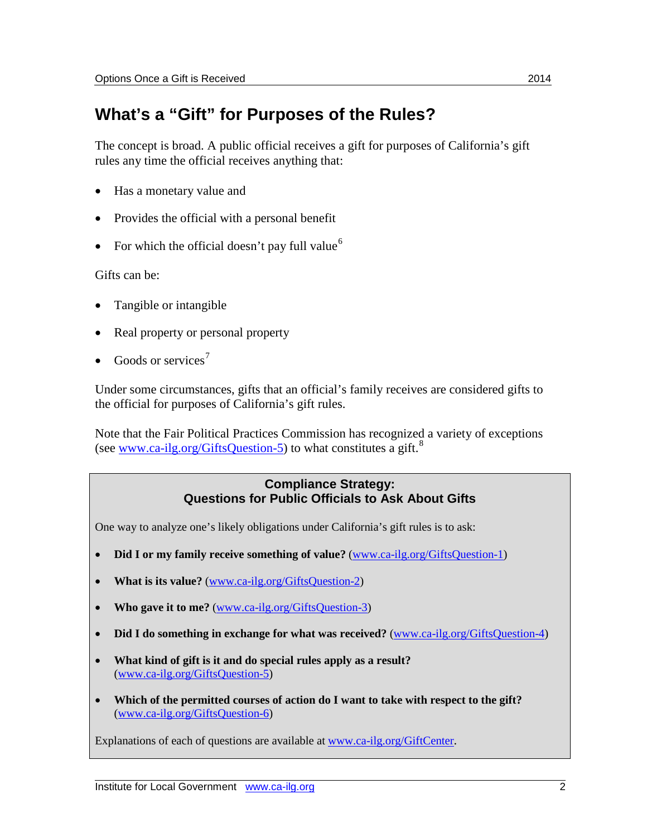### **What's a "Gift" for Purposes of the Rules?**

The concept is broad. A public official receives a gift for purposes of California's gift rules any time the official receives anything that:

- Has a monetary value and
- Provides the official with a personal benefit
- For which the official doesn't pay full value<sup>[6](#page-5-5)</sup>

Gifts can be:

- Tangible or intangible
- Real property or personal property
- Goods or services<sup>[7](#page-5-6)</sup>

Under some circumstances, gifts that an official's family receives are considered gifts to the official for purposes of California's gift rules.

Note that the Fair Political Practices Commission has recognized a variety of exceptions (see [www.ca-ilg.org/GiftsQuestion-5\)](http://www.ca-ilg.org/GiftsQuestion-5) to what constitutes a gift.<sup>[8](#page-5-7)</sup>

#### **Compliance Strategy: Questions for Public Officials to Ask About Gifts**

One way to analyze one's likely obligations under California's gift rules is to ask:

- **Did I or my family receive something of value?** [\(www.ca-ilg.org/GiftsQuestion-1\)](http://www.ca-ilg.org/GiftsQuestion-1)
- **What is its value?** [\(www.ca-ilg.org/GiftsQuestion-2\)](http://www.ca-ilg.org/GiftsQuestion-2)
- **Who gave it to me?** [\(www.ca-ilg.org/GiftsQuestion-3\)](http://www.ca-ilg.org/GiftsQuestion-3)
- **Did I do something in exchange for what was received?** [\(www.ca-ilg.org/GiftsQuestion-4\)](http://www.ca-ilg.org/GiftsQuestion-4)
- **What kind of gift is it and do special rules apply as a result?** [\(www.ca-ilg.org/GiftsQuestion-5\)](http://www.ca-ilg.org/GiftsQuestion-5)
- **Which of the permitted courses of action do I want to take with respect to the gift?** [\(www.ca-ilg.org/GiftsQuestion-6\)](http://www.ca-ilg.org/GiftsQuestion-6)

Explanations of each of questions are available at [www.ca-ilg.org/GiftCenter.](http://www.ca-ilg.org/GiftCenter)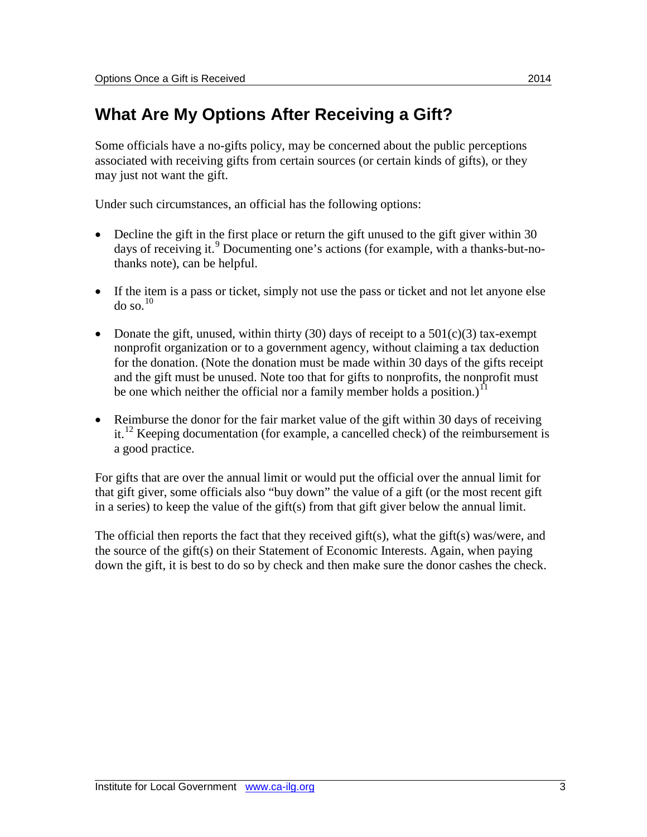## **What Are My Options After Receiving a Gift?**

Some officials have a no-gifts policy, may be concerned about the public perceptions associated with receiving gifts from certain sources (or certain kinds of gifts), or they may just not want the gift.

Under such circumstances, an official has the following options:

- Decline the gift in the first place or return the gift unused to the gift giver within 30 days of receiving it.<sup>[9](#page-5-8)</sup> Documenting one's actions (for example, with a thanks-but-nothanks note), can be helpful.
- If the item is a pass or ticket, simply not use the pass or ticket and not let anyone else  $\log 10$  $\log 10$
- Donate the gift, unused, within thirty (30) days of receipt to a  $501(c)(3)$  tax-exempt nonprofit organization or to a government agency, without claiming a tax deduction for the donation. (Note the donation must be made within 30 days of the gifts receipt and the gift must be unused. Note too that for gifts to nonprofits, the nonprofit must be one which neither the official nor a family member holds a position.)<sup>[11](#page-5-10)</sup>
- Reimburse the donor for the fair market value of the gift within 30 days of receiving it.<sup>[12](#page-5-11)</sup> Keeping documentation (for example, a cancelled check) of the reimbursement is a good practice.

For gifts that are over the annual limit or would put the official over the annual limit for that gift giver, some officials also "buy down" the value of a gift (or the most recent gift in a series) to keep the value of the gift(s) from that gift giver below the annual limit.

The official then reports the fact that they received gift(s), what the gift(s) was/were, and the source of the gift(s) on their Statement of Economic Interests. Again, when paying down the gift, it is best to do so by check and then make sure the donor cashes the check.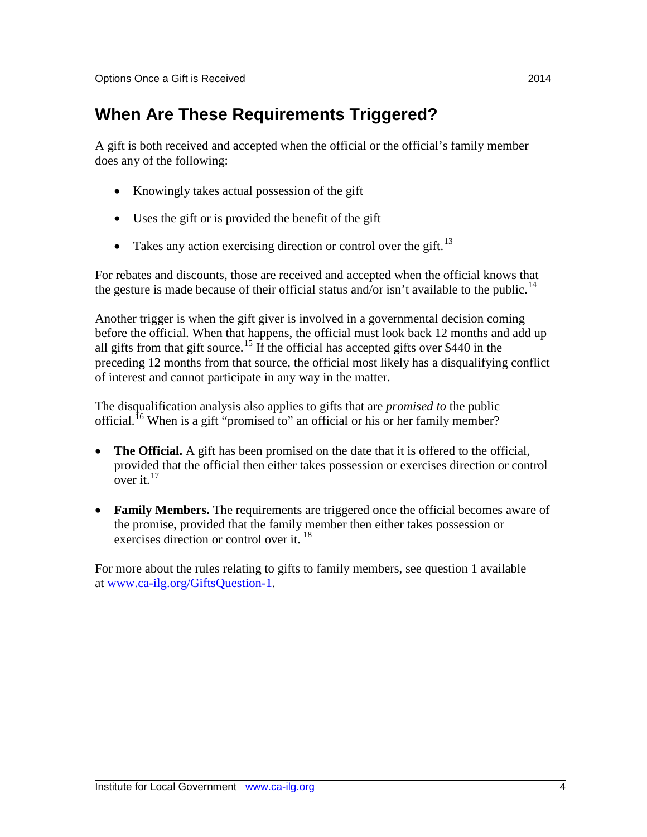### **When Are These Requirements Triggered?**

A gift is both received and accepted when the official or the official's family member does any of the following:

- Knowingly takes actual possession of the gift
- Uses the gift or is provided the benefit of the gift
- Takes any action exercising direction or control over the gift.<sup>[13](#page-5-12)</sup>

For rebates and discounts, those are received and accepted when the official knows that the gesture is made because of their official status and/or isn't available to the public.<sup>[14](#page-5-13)</sup>

Another trigger is when the gift giver is involved in a governmental decision coming before the official. When that happens, the official must look back 12 months and add up all gifts from that gift source.<sup>[15](#page-5-14)</sup> If the official has accepted gifts over \$440 in the preceding 12 months from that source, the official most likely has a disqualifying conflict of interest and cannot participate in any way in the matter.

The disqualification analysis also applies to gifts that are *promised to* the public official.<sup>[16](#page-5-15)</sup> When is a gift "promised to" an official or his or her family member?

- **The Official.** A gift has been promised on the date that it is offered to the official, provided that the official then either takes possession or exercises direction or control over it.  $17$
- **Family Members.** The requirements are triggered once the official becomes aware of the promise, provided that the family member then either takes possession or exercises direction or control over it.<sup>[18](#page-5-17)</sup>

For more about the rules relating to gifts to family members, see question 1 available at [www.ca-ilg.org/GiftsQuestion-1.](http://www.ca-ilg.org/GiftsQuestion-1)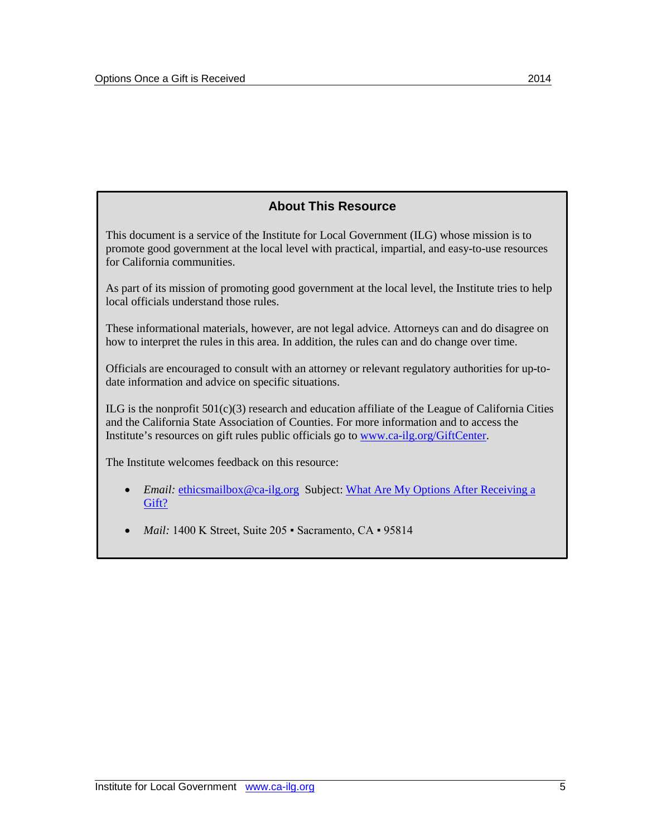#### **About This Resource**

This document is a service of the Institute for Local Government (ILG) whose mission is to promote good government at the local level with practical, impartial, and easy-to-use resources for California communities.

As part of its mission of promoting good government at the local level, the Institute tries to help local officials understand those rules.

These informational materials, however, are not legal advice. Attorneys can and do disagree on how to interpret the rules in this area. In addition, the rules can and do change over time.

Officials are encouraged to consult with an attorney or relevant regulatory authorities for up-todate information and advice on specific situations.

 $ILG$  is the nonprofit  $501(c)(3)$  research and education affiliate of the League of California Cities and the California State Association of Counties. For more information and to access the Institute's resources on gift rules public officials go to [www.ca-ilg.org/GiftCenter.](http://www.ca-ilg.org/GiftCenter)

The Institute welcomes feedback on this resource:

- *Email:* [ethicsmailbox@ca-ilg.org](mailto:ethicsmailbox@ca-ilg.org) Subject: What Are My Options After Receiving a [Gift?](http://www.ca-ilg.org/GiftsQuestion-6)
- *Mail:* 1400 K Street, Suite 205 · Sacramento, CA · 95814